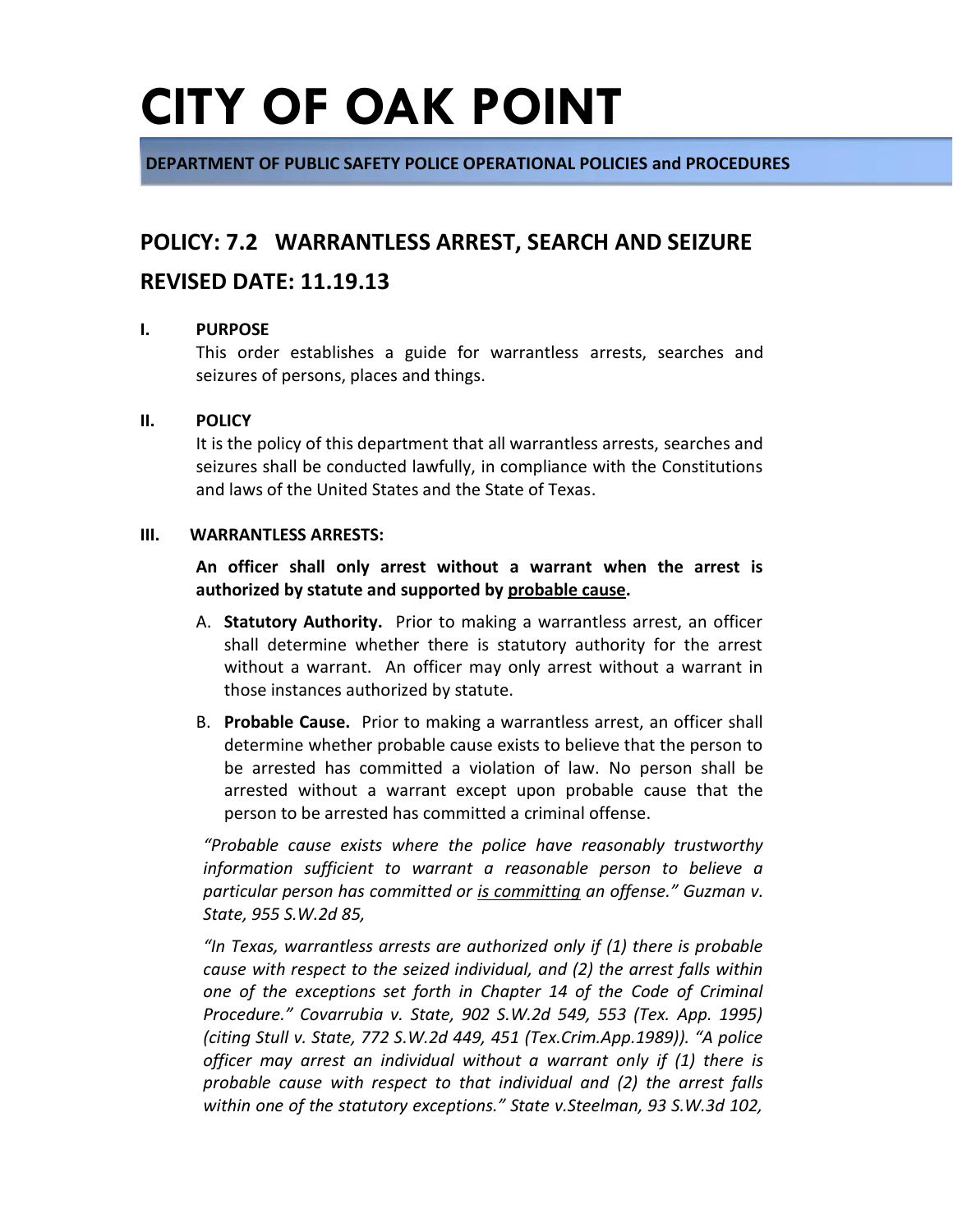**DEPARTMENT OF PUBLIC SAFETY POLICE OPERATIONAL POLICIES and PROCEDURES**

### **POLICY: 7.2 WARRANTLESS ARREST, SEARCH AND SEIZURE**

### **REVISED DATE: 11.19.13**

#### **I. PURPOSE**

This order establishes a guide for warrantless arrests, searches and seizures of persons, places and things.

#### **II. POLICY**

It is the policy of this department that all warrantless arrests, searches and seizures shall be conducted lawfully, in compliance with the Constitutions and laws of the United States and the State of Texas.

#### **III. WARRANTLESS ARRESTS:**

**An officer shall only arrest without a warrant when the arrest is authorized by statute and supported by probable cause.**

- A. **Statutory Authority.** Prior to making a warrantless arrest, an officer shall determine whether there is statutory authority for the arrest without a warrant. An officer may only arrest without a warrant in those instances authorized by statute.
- B. **Probable Cause.** Prior to making a warrantless arrest, an officer shall determine whether probable cause exists to believe that the person to be arrested has committed a violation of law. No person shall be arrested without a warrant except upon probable cause that the person to be arrested has committed a criminal offense.

*"Probable cause exists where the police have reasonably trustworthy information sufficient to warrant a reasonable person to believe a particular person has committed or is committing an offense." Guzman v. State, 955 S.W.2d 85,* 

*"In Texas, warrantless arrests are authorized only if (1) there is probable cause with respect to the seized individual, and (2) the arrest falls within one of the exceptions set forth in Chapter 14 of the Code of Criminal Procedure." Covarrubia v. State, 902 S.W.2d 549, 553 (Tex. App. 1995) (citing Stull v. State, 772 S.W.2d 449, 451 (Tex.Crim.App.1989)). "A police officer may arrest an individual without a warrant only if (1) there is probable cause with respect to that individual and (2) the arrest falls within one of the statutory exceptions." State v.Steelman, 93 S.W.3d 102,*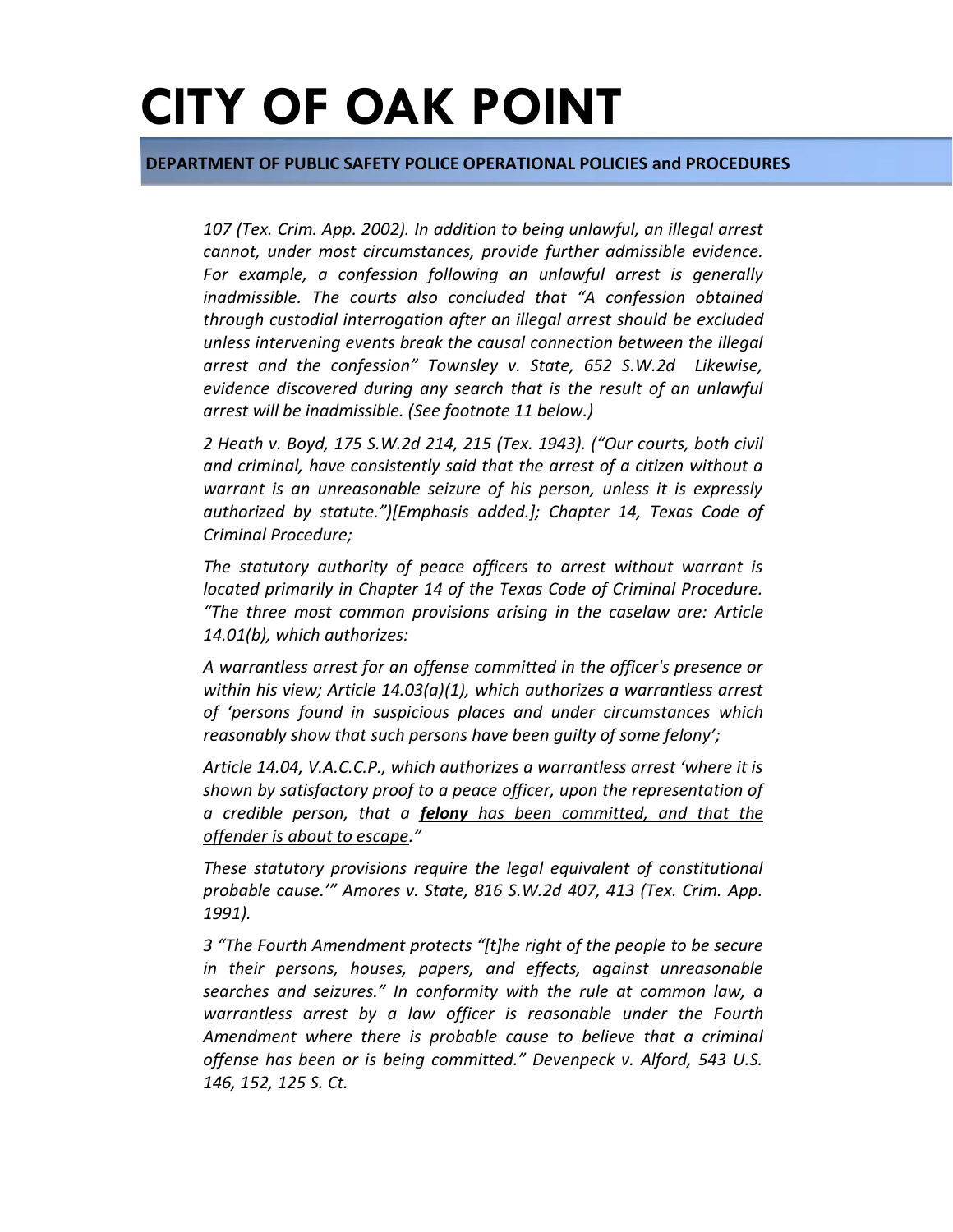**DEPARTMENT OF PUBLIC SAFETY POLICE OPERATIONAL POLICIES and PROCEDURES**

*107 (Tex. Crim. App. 2002). In addition to being unlawful, an illegal arrest cannot, under most circumstances, provide further admissible evidence. For example, a confession following an unlawful arrest is generally inadmissible. The courts also concluded that "A confession obtained through custodial interrogation after an illegal arrest should be excluded unless intervening events break the causal connection between the illegal arrest and the confession" Townsley v. State, 652 S.W.2d Likewise, evidence discovered during any search that is the result of an unlawful arrest will be inadmissible. (See footnote 11 below.)*

*2 Heath v. Boyd, 175 S.W.2d 214, 215 (Tex. 1943). ("Our courts, both civil and criminal, have consistently said that the arrest of a citizen without a warrant is an unreasonable seizure of his person, unless it is expressly authorized by statute.")[Emphasis added.]; Chapter 14, Texas Code of Criminal Procedure;* 

*The statutory authority of peace officers to arrest without warrant is located primarily in Chapter 14 of the Texas Code of Criminal Procedure. "The three most common provisions arising in the caselaw are: Article 14.01(b), which authorizes:* 

*A warrantless arrest for an offense committed in the officer's presence or within his view; Article 14.03(a)(1), which authorizes a warrantless arrest of 'persons found in suspicious places and under circumstances which reasonably show that such persons have been guilty of some felony';* 

*Article 14.04, V.A.C.C.P., which authorizes a warrantless arrest 'where it is shown by satisfactory proof to a peace officer, upon the representation of a credible person, that a felony has been committed, and that the offender is about to escape."*

*These statutory provisions require the legal equivalent of constitutional probable cause.'" Amores v. State, 816 S.W.2d 407, 413 (Tex. Crim. App. 1991).*

*3 "The Fourth Amendment protects "[t]he right of the people to be secure in their persons, houses, papers, and effects, against unreasonable searches and seizures." In conformity with the rule at common law, a warrantless arrest by a law officer is reasonable under the Fourth Amendment where there is probable cause to believe that a criminal offense has been or is being committed." Devenpeck v. Alford, 543 U.S. 146, 152, 125 S. Ct.*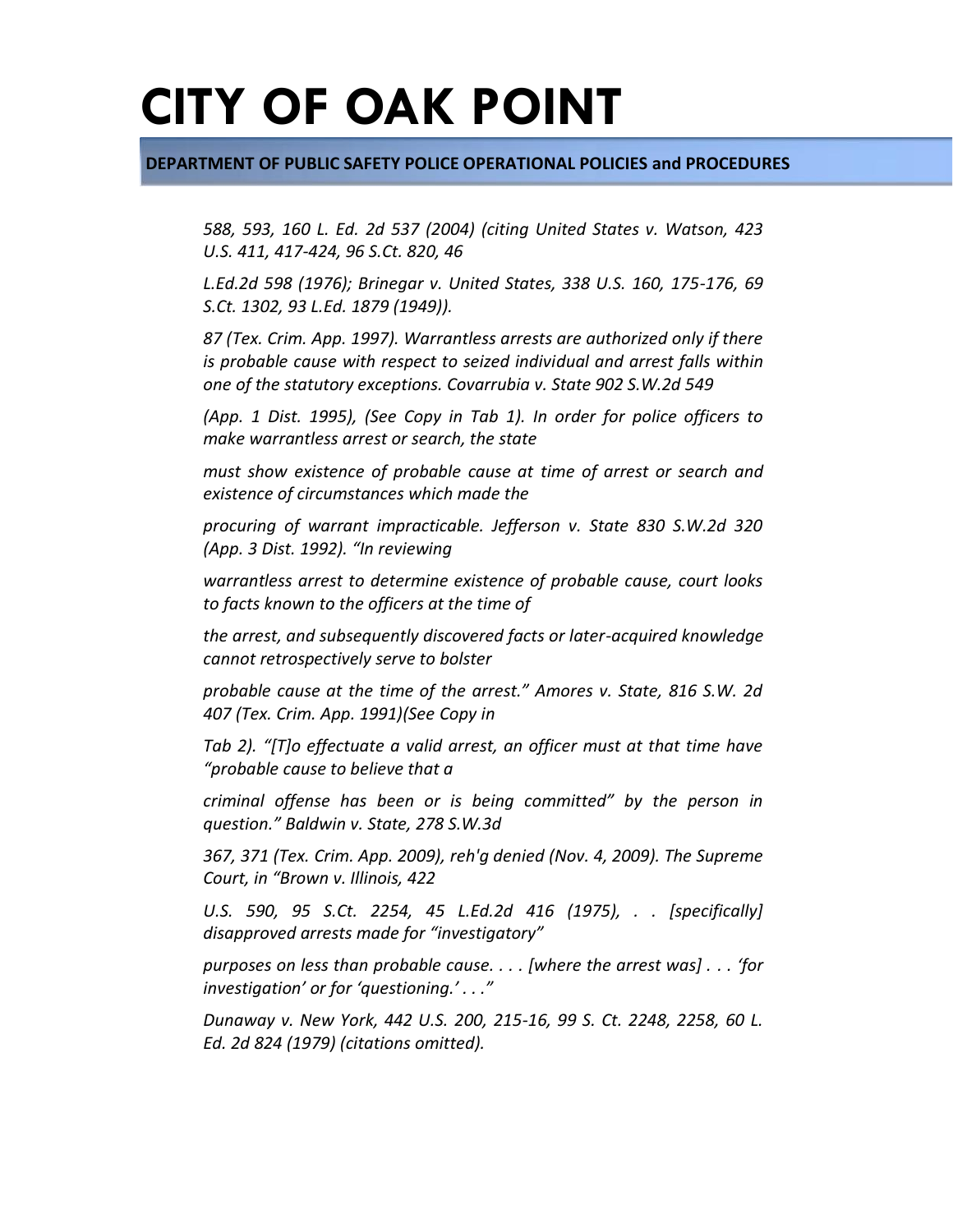#### **DEPARTMENT OF PUBLIC SAFETY POLICE OPERATIONAL POLICIES and PROCEDURES**

*588, 593, 160 L. Ed. 2d 537 (2004) (citing United States v. Watson, 423 U.S. 411, 417-424, 96 S.Ct. 820, 46*

*L.Ed.2d 598 (1976); Brinegar v. United States, 338 U.S. 160, 175-176, 69 S.Ct. 1302, 93 L.Ed. 1879 (1949)).*

*87 (Tex. Crim. App. 1997). Warrantless arrests are authorized only if there is probable cause with respect to seized individual and arrest falls within one of the statutory exceptions. Covarrubia v. State 902 S.W.2d 549*

*(App. 1 Dist. 1995), (See Copy in Tab 1). In order for police officers to make warrantless arrest or search, the state*

*must show existence of probable cause at time of arrest or search and existence of circumstances which made the*

*procuring of warrant impracticable. Jefferson v. State 830 S.W.2d 320 (App. 3 Dist. 1992). "In reviewing*

*warrantless arrest to determine existence of probable cause, court looks to facts known to the officers at the time of*

*the arrest, and subsequently discovered facts or later-acquired knowledge cannot retrospectively serve to bolster*

*probable cause at the time of the arrest." Amores v. State, 816 S.W. 2d 407 (Tex. Crim. App. 1991)(See Copy in*

*Tab 2). "[T]o effectuate a valid arrest, an officer must at that time have "probable cause to believe that a*

*criminal offense has been or is being committed" by the person in question." Baldwin v. State, 278 S.W.3d*

*367, 371 (Tex. Crim. App. 2009), reh'g denied (Nov. 4, 2009). The Supreme Court, in "Brown v. Illinois, 422*

*U.S. 590, 95 S.Ct. 2254, 45 L.Ed.2d 416 (1975), . . [specifically] disapproved arrests made for "investigatory"*

*purposes on less than probable cause. . . . [where the arrest was] . . . 'for investigation' or for 'questioning.' . . ."*

*Dunaway v. New York, 442 U.S. 200, 215-16, 99 S. Ct. 2248, 2258, 60 L. Ed. 2d 824 (1979) (citations omitted).*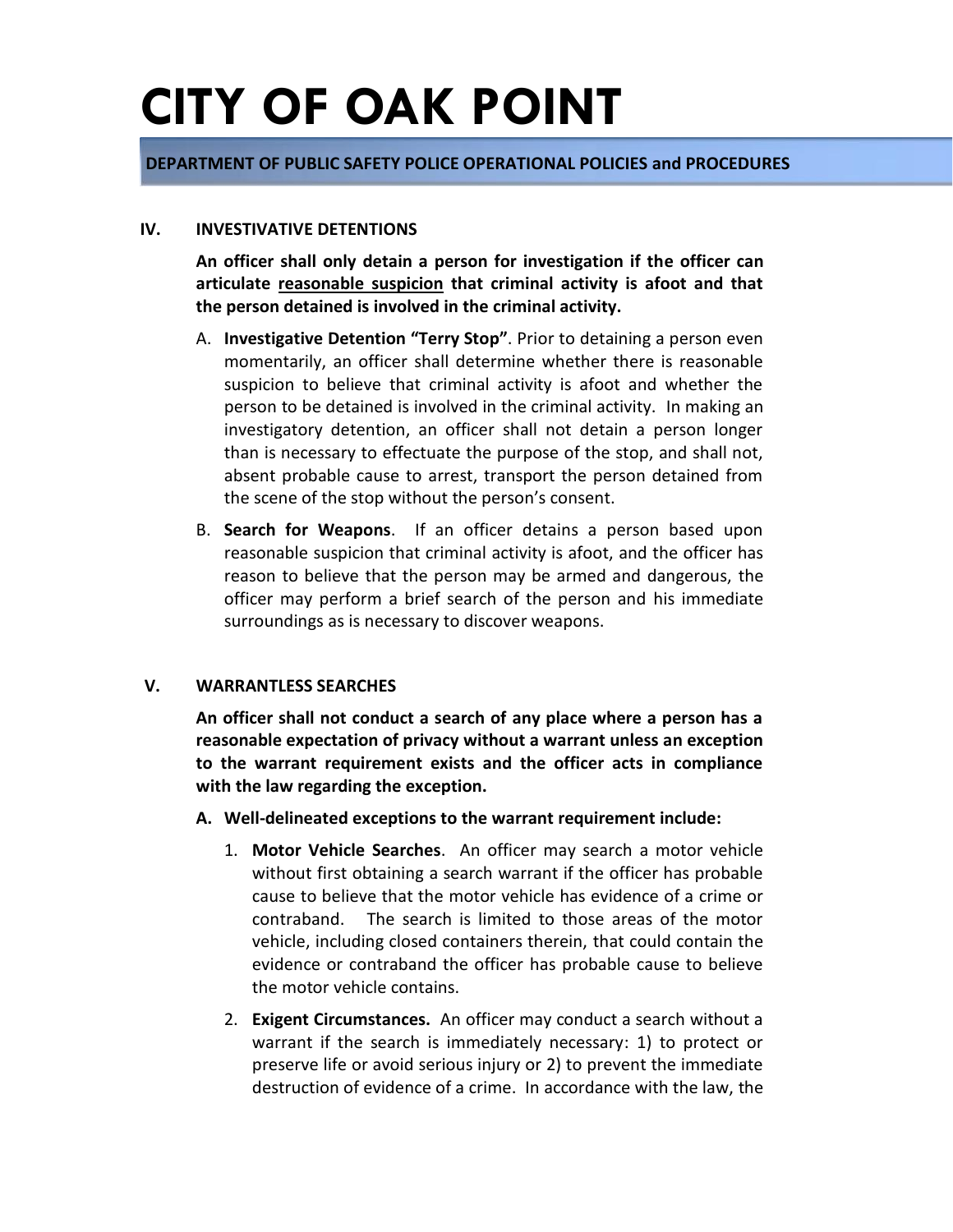#### **DEPARTMENT OF PUBLIC SAFETY POLICE OPERATIONAL POLICIES and PROCEDURES**

#### **IV. INVESTIVATIVE DETENTIONS**

**An officer shall only detain a person for investigation if the officer can articulate reasonable suspicion that criminal activity is afoot and that the person detained is involved in the criminal activity.**

- A. **Investigative Detention "Terry Stop"**. Prior to detaining a person even momentarily, an officer shall determine whether there is reasonable suspicion to believe that criminal activity is afoot and whether the person to be detained is involved in the criminal activity. In making an investigatory detention, an officer shall not detain a person longer than is necessary to effectuate the purpose of the stop, and shall not, absent probable cause to arrest, transport the person detained from the scene of the stop without the person's consent.
- B. **Search for Weapons**. If an officer detains a person based upon reasonable suspicion that criminal activity is afoot, and the officer has reason to believe that the person may be armed and dangerous, the officer may perform a brief search of the person and his immediate surroundings as is necessary to discover weapons.

#### **V. WARRANTLESS SEARCHES**

**An officer shall not conduct a search of any place where a person has a reasonable expectation of privacy without a warrant unless an exception to the warrant requirement exists and the officer acts in compliance with the law regarding the exception.** 

- **A. Well-delineated exceptions to the warrant requirement include:**
	- 1. **Motor Vehicle Searches**. An officer may search a motor vehicle without first obtaining a search warrant if the officer has probable cause to believe that the motor vehicle has evidence of a crime or contraband. The search is limited to those areas of the motor vehicle, including closed containers therein, that could contain the evidence or contraband the officer has probable cause to believe the motor vehicle contains.
	- 2. **Exigent Circumstances.** An officer may conduct a search without a warrant if the search is immediately necessary: 1) to protect or preserve life or avoid serious injury or 2) to prevent the immediate destruction of evidence of a crime. In accordance with the law, the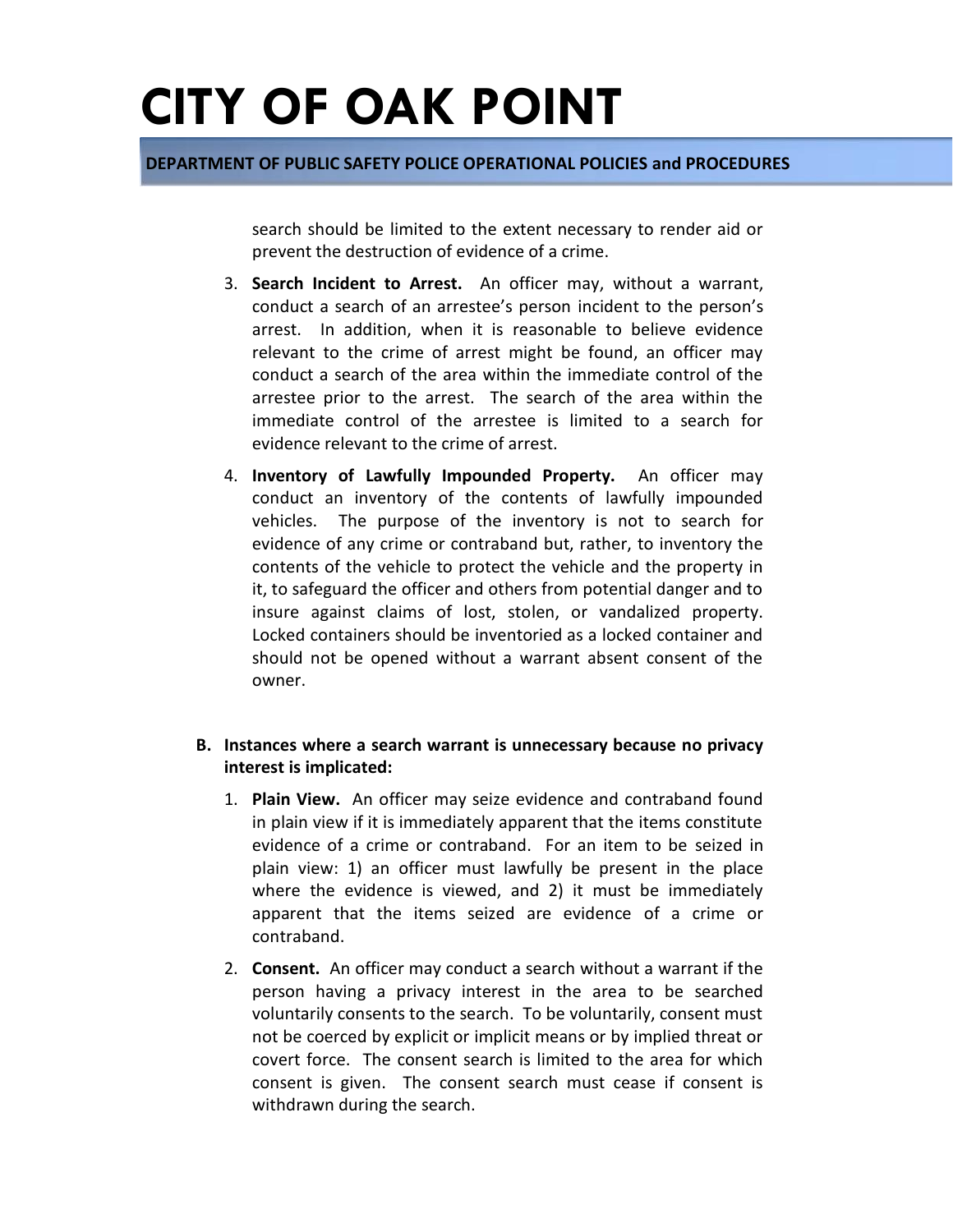#### **DEPARTMENT OF PUBLIC SAFETY POLICE OPERATIONAL POLICIES and PROCEDURES**

search should be limited to the extent necessary to render aid or prevent the destruction of evidence of a crime.

- 3. **Search Incident to Arrest.** An officer may, without a warrant, conduct a search of an arrestee's person incident to the person's arrest. In addition, when it is reasonable to believe evidence relevant to the crime of arrest might be found, an officer may conduct a search of the area within the immediate control of the arrestee prior to the arrest. The search of the area within the immediate control of the arrestee is limited to a search for evidence relevant to the crime of arrest.
- 4. **Inventory of Lawfully Impounded Property.** An officer may conduct an inventory of the contents of lawfully impounded vehicles. The purpose of the inventory is not to search for evidence of any crime or contraband but, rather, to inventory the contents of the vehicle to protect the vehicle and the property in it, to safeguard the officer and others from potential danger and to insure against claims of lost, stolen, or vandalized property. Locked containers should be inventoried as a locked container and should not be opened without a warrant absent consent of the owner.

#### **B. Instances where a search warrant is unnecessary because no privacy interest is implicated:**

- 1. **Plain View.** An officer may seize evidence and contraband found in plain view if it is immediately apparent that the items constitute evidence of a crime or contraband. For an item to be seized in plain view: 1) an officer must lawfully be present in the place where the evidence is viewed, and 2) it must be immediately apparent that the items seized are evidence of a crime or contraband.
- 2. **Consent.** An officer may conduct a search without a warrant if the person having a privacy interest in the area to be searched voluntarily consents to the search. To be voluntarily, consent must not be coerced by explicit or implicit means or by implied threat or covert force. The consent search is limited to the area for which consent is given. The consent search must cease if consent is withdrawn during the search.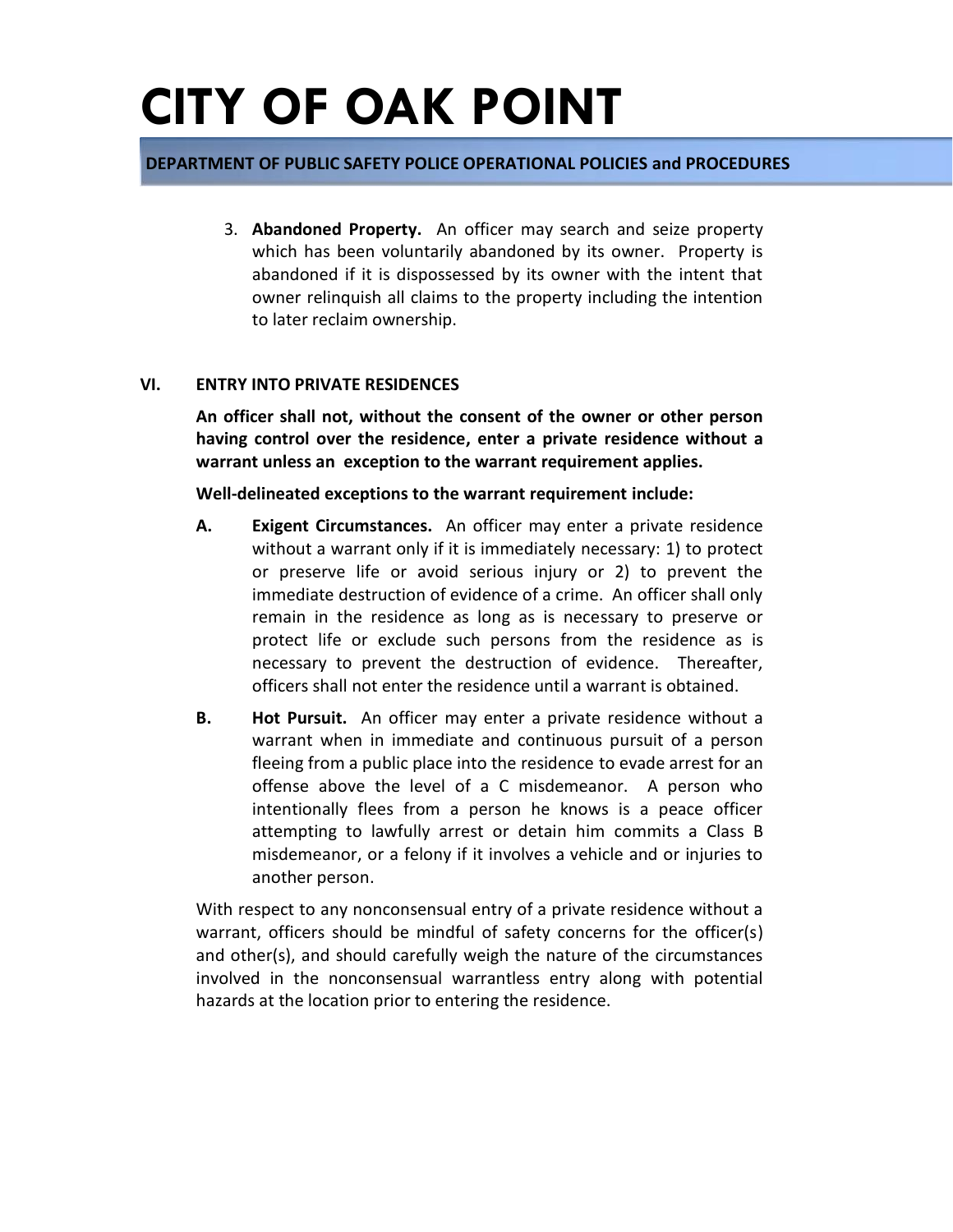#### **DEPARTMENT OF PUBLIC SAFETY POLICE OPERATIONAL POLICIES and PROCEDURES**

3. **Abandoned Property.** An officer may search and seize property which has been voluntarily abandoned by its owner. Property is abandoned if it is dispossessed by its owner with the intent that owner relinquish all claims to the property including the intention to later reclaim ownership.

#### **VI. ENTRY INTO PRIVATE RESIDENCES**

**An officer shall not, without the consent of the owner or other person having control over the residence, enter a private residence without a warrant unless an exception to the warrant requirement applies.**

**Well-delineated exceptions to the warrant requirement include:**

- **A. Exigent Circumstances.** An officer may enter a private residence without a warrant only if it is immediately necessary: 1) to protect or preserve life or avoid serious injury or 2) to prevent the immediate destruction of evidence of a crime. An officer shall only remain in the residence as long as is necessary to preserve or protect life or exclude such persons from the residence as is necessary to prevent the destruction of evidence. Thereafter, officers shall not enter the residence until a warrant is obtained.
- **B. Hot Pursuit.** An officer may enter a private residence without a warrant when in immediate and continuous pursuit of a person fleeing from a public place into the residence to evade arrest for an offense above the level of a C misdemeanor. A person who intentionally flees from a person he knows is a peace officer attempting to lawfully arrest or detain him commits a Class B misdemeanor, or a felony if it involves a vehicle and or injuries to another person.

With respect to any nonconsensual entry of a private residence without a warrant, officers should be mindful of safety concerns for the officer(s) and other(s), and should carefully weigh the nature of the circumstances involved in the nonconsensual warrantless entry along with potential hazards at the location prior to entering the residence.